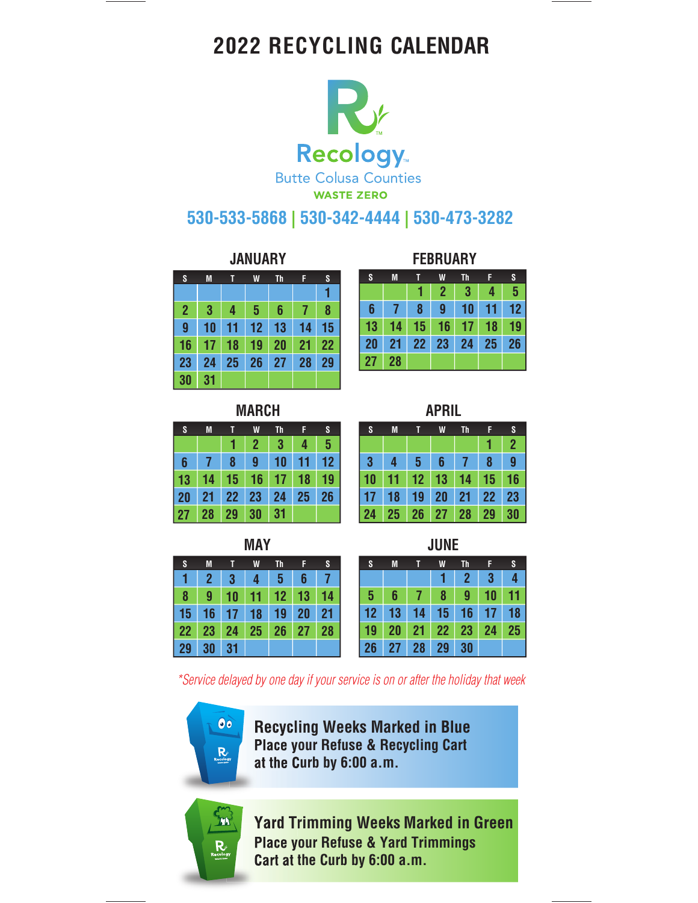# **2022 RECYCLING CALENDAR**



## **530-533-5868 | 530-342-4444 | 530-473-3282**

| S              | M  |    | W  | Th | F  | S  |
|----------------|----|----|----|----|----|----|
|                |    |    |    |    |    |    |
| $\overline{2}$ | 3  | 4  | 5  | 6  | 7  | 8  |
| 9              | 10 | 11 | 12 | 13 | 14 | 15 |
| 16             | 17 | 18 | 19 | 20 | 21 | 22 |
| 23             | 24 | 25 | 26 | 27 | 28 | 29 |
| 30             | 31 |    |    |    |    |    |

|                 | <b>JANUARY</b> |    |    |    |    |                 | <b>FEBRUARY</b> |    |    |    |    |           |    |    |
|-----------------|----------------|----|----|----|----|-----------------|-----------------|----|----|----|----|-----------|----|----|
| S               | M              |    | W  | Th | F  | S               |                 | S  | M  |    | W  | <b>Th</b> | F  | S  |
|                 |                |    |    |    |    |                 |                 |    |    |    | 2  | 3         | 4  | 5  |
|                 | 3              |    | 5  | 6  |    | 8               |                 | 6  |    | 8  | 9  |           |    | 12 |
| 9               | 10             |    | 12 |    |    | 15              |                 | 13 |    | 15 | 16 |           | 18 | 19 |
| $6\phantom{1}6$ |                | 18 | 19 |    | 21 | $\overline{22}$ |                 | 20 | 21 | 22 | 23 | 24        | 25 | 26 |
| !ვ              | 24             | 25 | 26 | 27 | 28 | 29              |                 | 27 | 28 |    |    |           |    |    |

| <b>MARCH</b> |  |  |
|--------------|--|--|
|              |  |  |

| S  | M  |    | W              | Th | F  | S              |
|----|----|----|----------------|----|----|----------------|
|    |    |    | $\overline{2}$ | 3  | 4  | $5\phantom{1}$ |
| 6  |    | 8  | 9              | 10 | 11 | 12             |
| 13 | 14 | 15 | 16             | 17 | 18 | 19             |
| 20 | 21 | 22 | 23             | 24 | 25 | 26             |
| 27 | 28 | 29 | 30             | 31 |    |                |

| S  | M              |    | W  | Th |    | S  |
|----|----------------|----|----|----|----|----|
|    | $\overline{2}$ | 3  | 4  | 5  | 6  |    |
| 8  | 9              | 10 | 11 | 12 | 13 | 14 |
| 15 | 16             | 17 | 18 | 19 | 20 | 21 |
| 22 | 23             | 24 | 25 | 26 | 27 | 28 |
| 29 | 30             | 31 |    |    |    |    |

|--|

| S  | M  |                 | W              | <b>Th</b> |    | S              |
|----|----|-----------------|----------------|-----------|----|----------------|
|    |    |                 |                |           |    | $\overline{2}$ |
| 3  | 4  | $5\phantom{.0}$ | 6 <sup>7</sup> | 7         | 8  | 9              |
| 10 | 11 | 12 <sub>2</sub> | 13             | 14        | 15 | 16             |
| 17 | 18 | 19              | 20             | 21        | 22 | 23             |
| 24 | 25 | <b>26</b>       | 27             | 28        | 29 | 30             |

**MAY JUNE**

| S              | M               | - 11            | <b>W</b>            | -Th      | - 11 | <b>AST</b> |
|----------------|-----------------|-----------------|---------------------|----------|------|------------|
|                |                 | $2 \mid 3 \mid$ | 4 <sup>1</sup>      | $-5$ $-$ | 6    |            |
|                |                 |                 | 8 9 10 11 12 13 14  |          |      |            |
|                |                 |                 | 5 16 17 18 19 20 21 |          |      |            |
|                |                 |                 | 2 23 24 25 26 27 28 |          |      |            |
| 9 <sup>°</sup> | 30 <sup>7</sup> |                 |                     |          |      |            |

\*Service delayed by one day if your service is on or after the holiday that week



**Recycling Weeks Marked in Blue Place your Refuse & Recycling Cart at the Curb by 6:00 a.m.**



**Yard Trimming Weeks Marked in Green Place your Refuse & Yard Trimmings Cart at the Curb by 6:00 a.m.**